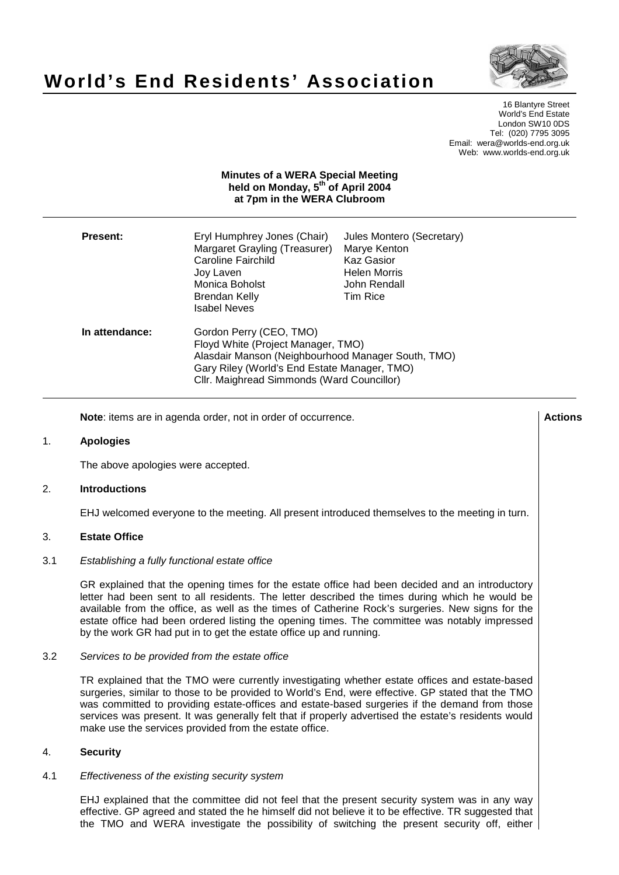# **World's End Residents' Association**



16 Blantyre Street World's End Estate London SW10 0DS Tel: (020) 7795 3095 Email: wera@worlds-end.org.uk Web: www.worlds-end.org.uk

# **Minutes of a WERA Special Meeting held on Monday, 5 th of April 2004 at 7pm in the WERA Clubroom**

| <b>Present:</b> | Eryl Humphrey Jones (Chair)<br>Margaret Grayling (Treasurer)<br><b>Caroline Fairchild</b><br>Joy Laven<br>Monica Boholst<br>Brendan Kelly<br>Isabel Neves                                                         | Jules Montero (Secretary)<br>Marye Kenton<br><b>Kaz Gasior</b><br><b>Helen Morris</b><br>John Rendall<br>Tim Rice |
|-----------------|-------------------------------------------------------------------------------------------------------------------------------------------------------------------------------------------------------------------|-------------------------------------------------------------------------------------------------------------------|
| In attendance:  | Gordon Perry (CEO, TMO)<br>Floyd White (Project Manager, TMO)<br>Alasdair Manson (Neighbourhood Manager South, TMO)<br>Gary Riley (World's End Estate Manager, TMO)<br>Cllr. Maighread Simmonds (Ward Councillor) |                                                                                                                   |

**Note**: items are in agenda order, not in order of occurrence. **Actions Actions** 

## 1. **Apologies**

The above apologies were accepted.

## 2. **Introductions**

EHJ welcomed everyone to the meeting. All present introduced themselves to the meeting in turn.

## 3. **Estate Office**

#### 3.1 Establishing a fully functional estate office

GR explained that the opening times for the estate office had been decided and an introductory letter had been sent to all residents. The letter described the times during which he would be available from the office, as well as the times of Catherine Rock's surgeries. New signs for the estate office had been ordered listing the opening times. The committee was notably impressed by the work GR had put in to get the estate office up and running.

#### 3.2 Services to be provided from the estate office

TR explained that the TMO were currently investigating whether estate offices and estate-based surgeries, similar to those to be provided to World's End, were effective. GP stated that the TMO was committed to providing estate-offices and estate-based surgeries if the demand from those services was present. It was generally felt that if properly advertised the estate's residents would make use the services provided from the estate office.

#### 4. **Security**

#### 4.1 Effectiveness of the existing security system

EHJ explained that the committee did not feel that the present security system was in any way effective. GP agreed and stated the he himself did not believe it to be effective. TR suggested that the TMO and WERA investigate the possibility of switching the present security off, either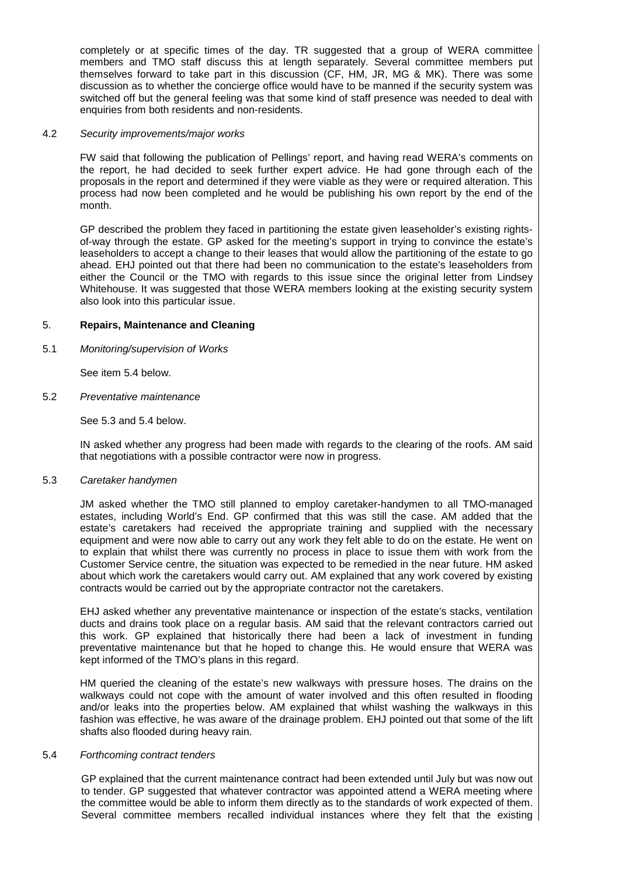completely or at specific times of the day. TR suggested that a group of WERA committee members and TMO staff discuss this at length separately. Several committee members put themselves forward to take part in this discussion (CF, HM, JR, MG & MK). There was some discussion as to whether the concierge office would have to be manned if the security system was switched off but the general feeling was that some kind of staff presence was needed to deal with enquiries from both residents and non-residents.

# 4.2 Security improvements/major works

FW said that following the publication of Pellings' report, and having read WERA's comments on the report, he had decided to seek further expert advice. He had gone through each of the proposals in the report and determined if they were viable as they were or required alteration. This process had now been completed and he would be publishing his own report by the end of the month.

GP described the problem they faced in partitioning the estate given leaseholder's existing rightsof-way through the estate. GP asked for the meeting's support in trying to convince the estate's leaseholders to accept a change to their leases that would allow the partitioning of the estate to go ahead. EHJ pointed out that there had been no communication to the estate's leaseholders from either the Council or the TMO with regards to this issue since the original letter from Lindsey Whitehouse. It was suggested that those WERA members looking at the existing security system also look into this particular issue.

## 5. **Repairs, Maintenance and Cleaning**

5.1 Monitoring/supervision of Works

See item 5.4 below.

## 5.2 Preventative maintenance

See 5.3 and 5.4 below.

IN asked whether any progress had been made with regards to the clearing of the roofs. AM said that negotiations with a possible contractor were now in progress.

## 5.3 Caretaker handymen

JM asked whether the TMO still planned to employ caretaker-handymen to all TMO-managed estates, including World's End. GP confirmed that this was still the case. AM added that the estate's caretakers had received the appropriate training and supplied with the necessary equipment and were now able to carry out any work they felt able to do on the estate. He went on to explain that whilst there was currently no process in place to issue them with work from the Customer Service centre, the situation was expected to be remedied in the near future. HM asked about which work the caretakers would carry out. AM explained that any work covered by existing contracts would be carried out by the appropriate contractor not the caretakers.

EHJ asked whether any preventative maintenance or inspection of the estate's stacks, ventilation ducts and drains took place on a regular basis. AM said that the relevant contractors carried out this work. GP explained that historically there had been a lack of investment in funding preventative maintenance but that he hoped to change this. He would ensure that WERA was kept informed of the TMO's plans in this regard.

HM queried the cleaning of the estate's new walkways with pressure hoses. The drains on the walkways could not cope with the amount of water involved and this often resulted in flooding and/or leaks into the properties below. AM explained that whilst washing the walkways in this fashion was effective, he was aware of the drainage problem. EHJ pointed out that some of the lift shafts also flooded during heavy rain.

## 5.4 Forthcoming contract tenders

GP explained that the current maintenance contract had been extended until July but was now out to tender. GP suggested that whatever contractor was appointed attend a WERA meeting where the committee would be able to inform them directly as to the standards of work expected of them. Several committee members recalled individual instances where they felt that the existing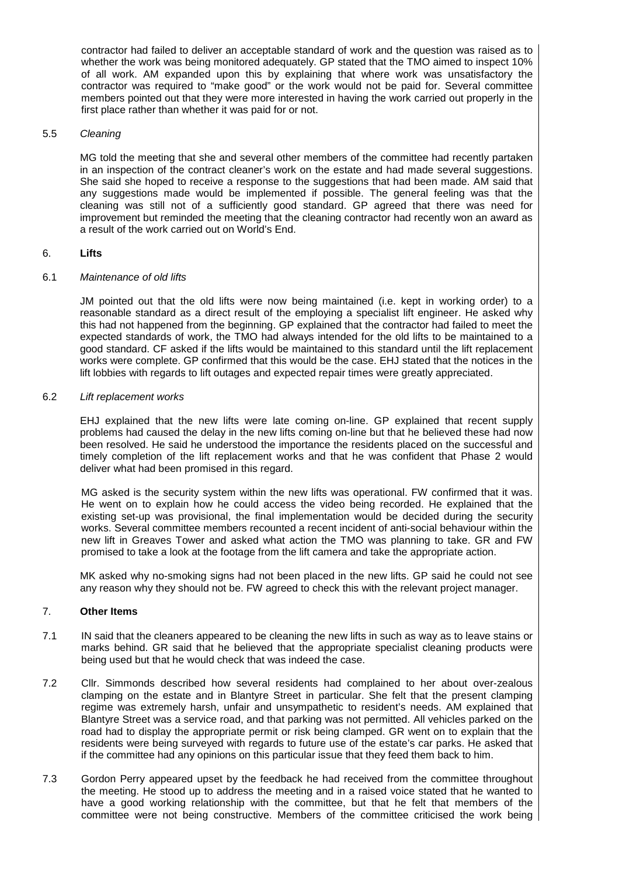contractor had failed to deliver an acceptable standard of work and the question was raised as to whether the work was being monitored adequately. GP stated that the TMO aimed to inspect 10% of all work. AM expanded upon this by explaining that where work was unsatisfactory the contractor was required to "make good" or the work would not be paid for. Several committee members pointed out that they were more interested in having the work carried out properly in the first place rather than whether it was paid for or not.

## 5.5 Cleaning

MG told the meeting that she and several other members of the committee had recently partaken in an inspection of the contract cleaner's work on the estate and had made several suggestions. She said she hoped to receive a response to the suggestions that had been made. AM said that any suggestions made would be implemented if possible. The general feeling was that the cleaning was still not of a sufficiently good standard. GP agreed that there was need for improvement but reminded the meeting that the cleaning contractor had recently won an award as a result of the work carried out on World's End.

# 6. **Lifts**

# 6.1 Maintenance of old lifts

JM pointed out that the old lifts were now being maintained (i.e. kept in working order) to a reasonable standard as a direct result of the employing a specialist lift engineer. He asked why this had not happened from the beginning. GP explained that the contractor had failed to meet the expected standards of work, the TMO had always intended for the old lifts to be maintained to a good standard. CF asked if the lifts would be maintained to this standard until the lift replacement works were complete. GP confirmed that this would be the case. EHJ stated that the notices in the lift lobbies with regards to lift outages and expected repair times were greatly appreciated.

# 6.2 Lift replacement works

EHJ explained that the new lifts were late coming on-line. GP explained that recent supply problems had caused the delay in the new lifts coming on-line but that he believed these had now been resolved. He said he understood the importance the residents placed on the successful and timely completion of the lift replacement works and that he was confident that Phase 2 would deliver what had been promised in this regard.

MG asked is the security system within the new lifts was operational. FW confirmed that it was. He went on to explain how he could access the video being recorded. He explained that the existing set-up was provisional, the final implementation would be decided during the security works. Several committee members recounted a recent incident of anti-social behaviour within the new lift in Greaves Tower and asked what action the TMO was planning to take. GR and FW promised to take a look at the footage from the lift camera and take the appropriate action.

MK asked why no-smoking signs had not been placed in the new lifts. GP said he could not see any reason why they should not be. FW agreed to check this with the relevant project manager.

# 7. **Other Items**

- 7.1 IN said that the cleaners appeared to be cleaning the new lifts in such as way as to leave stains or marks behind. GR said that he believed that the appropriate specialist cleaning products were being used but that he would check that was indeed the case.
- 7.2 Cllr. Simmonds described how several residents had complained to her about over-zealous clamping on the estate and in Blantyre Street in particular. She felt that the present clamping regime was extremely harsh, unfair and unsympathetic to resident's needs. AM explained that Blantyre Street was a service road, and that parking was not permitted. All vehicles parked on the road had to display the appropriate permit or risk being clamped. GR went on to explain that the residents were being surveyed with regards to future use of the estate's car parks. He asked that if the committee had any opinions on this particular issue that they feed them back to him.
- 7.3 Gordon Perry appeared upset by the feedback he had received from the committee throughout the meeting. He stood up to address the meeting and in a raised voice stated that he wanted to have a good working relationship with the committee, but that he felt that members of the committee were not being constructive. Members of the committee criticised the work being